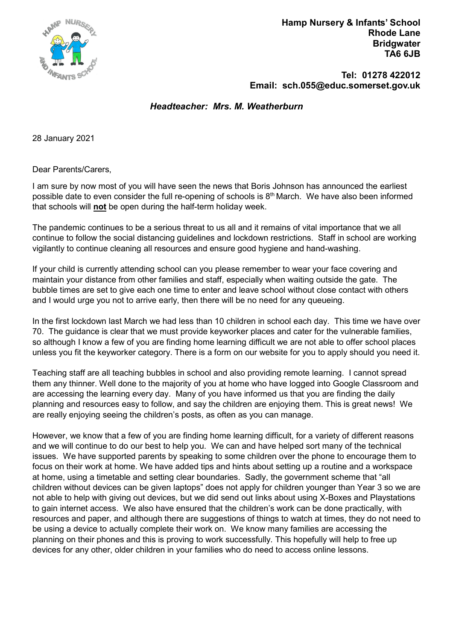

 Hamp Nursery & Infants' School Rhode Lane **Bridgwater** TA6 6JB

 Tel: 01278 422012 Email: sch.055@educ.somerset.gov.uk

Headteacher: Mrs. M. Weatherburn

28 January 2021

Dear Parents/Carers,

I am sure by now most of you will have seen the news that Boris Johnson has announced the earliest possible date to even consider the full re-opening of schools is  $8<sup>th</sup>$  March. We have also been informed that schools will not be open during the half-term holiday week.

The pandemic continues to be a serious threat to us all and it remains of vital importance that we all continue to follow the social distancing guidelines and lockdown restrictions. Staff in school are working vigilantly to continue cleaning all resources and ensure good hygiene and hand-washing.

If your child is currently attending school can you please remember to wear your face covering and maintain your distance from other families and staff, especially when waiting outside the gate. The bubble times are set to give each one time to enter and leave school without close contact with others and I would urge you not to arrive early, then there will be no need for any queueing.

In the first lockdown last March we had less than 10 children in school each day. This time we have over 70. The guidance is clear that we must provide keyworker places and cater for the vulnerable families, so although I know a few of you are finding home learning difficult we are not able to offer school places unless you fit the keyworker category. There is a form on our website for you to apply should you need it.

Teaching staff are all teaching bubbles in school and also providing remote learning. I cannot spread them any thinner. Well done to the majority of you at home who have logged into Google Classroom and are accessing the learning every day. Many of you have informed us that you are finding the daily planning and resources easy to follow, and say the children are enjoying them. This is great news! We are really enjoying seeing the children's posts, as often as you can manage.

However, we know that a few of you are finding home learning difficult, for a variety of different reasons and we will continue to do our best to help you. We can and have helped sort many of the technical issues. We have supported parents by speaking to some children over the phone to encourage them to focus on their work at home. We have added tips and hints about setting up a routine and a workspace at home, using a timetable and setting clear boundaries. Sadly, the government scheme that "all children without devices can be given laptops" does not apply for children younger than Year 3 so we are not able to help with giving out devices, but we did send out links about using X-Boxes and Playstations to gain internet access. We also have ensured that the children's work can be done practically, with resources and paper, and although there are suggestions of things to watch at times, they do not need to be using a device to actually complete their work on. We know many families are accessing the planning on their phones and this is proving to work successfully. This hopefully will help to free up devices for any other, older children in your families who do need to access online lessons.